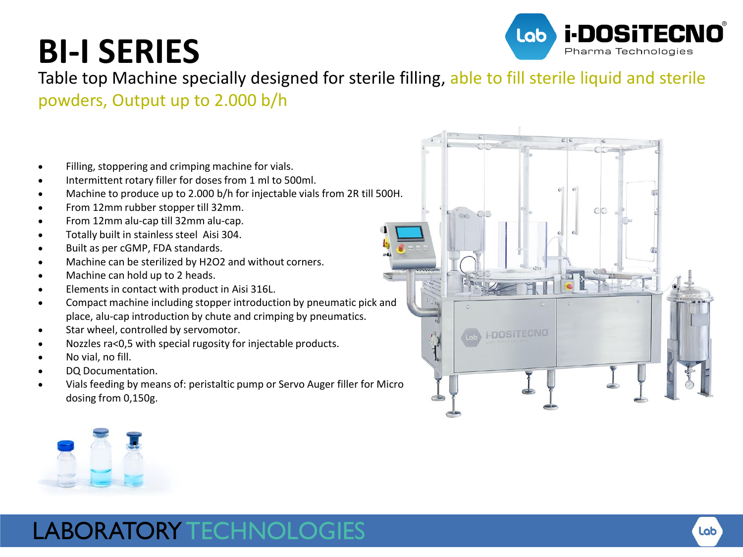## **BI-I SERIES**



Table top Machine specially designed for sterile filling, able to fill sterile liquid and sterile powders, Output up to 2.000 b/h

- Filling, stoppering and crimping machine for vials.
- Intermittent rotary filler for doses from 1 ml to 500ml.
- Machine to produce up to 2.000 b/h for injectable vials from 2R till 500H.
- From 12mm rubber stopper till 32mm.
- From 12mm alu-cap till 32mm alu-cap.
- Totally built in stainless steel Aisi 304.
- Built as per cGMP, FDA standards.
- Machine can be sterilized by H2O2 and without corners.
- Machine can hold up to 2 heads.
- Elements in contact with product in Aisi 316L.
- Compact machine including stopper introduction by pneumatic pick and place, alu-cap introduction by chute and crimping by pneumatics.
- Star wheel, controlled by servomotor.
- Nozzles ra<0,5 with special rugosity for injectable products.
- No vial, no fill.
- DQ Documentation.
- Vials feeding by means of: peristaltic pump or Servo Auger filler for Micro dosing from 0,150g.





## LABORATORY TECHNOLOGIES